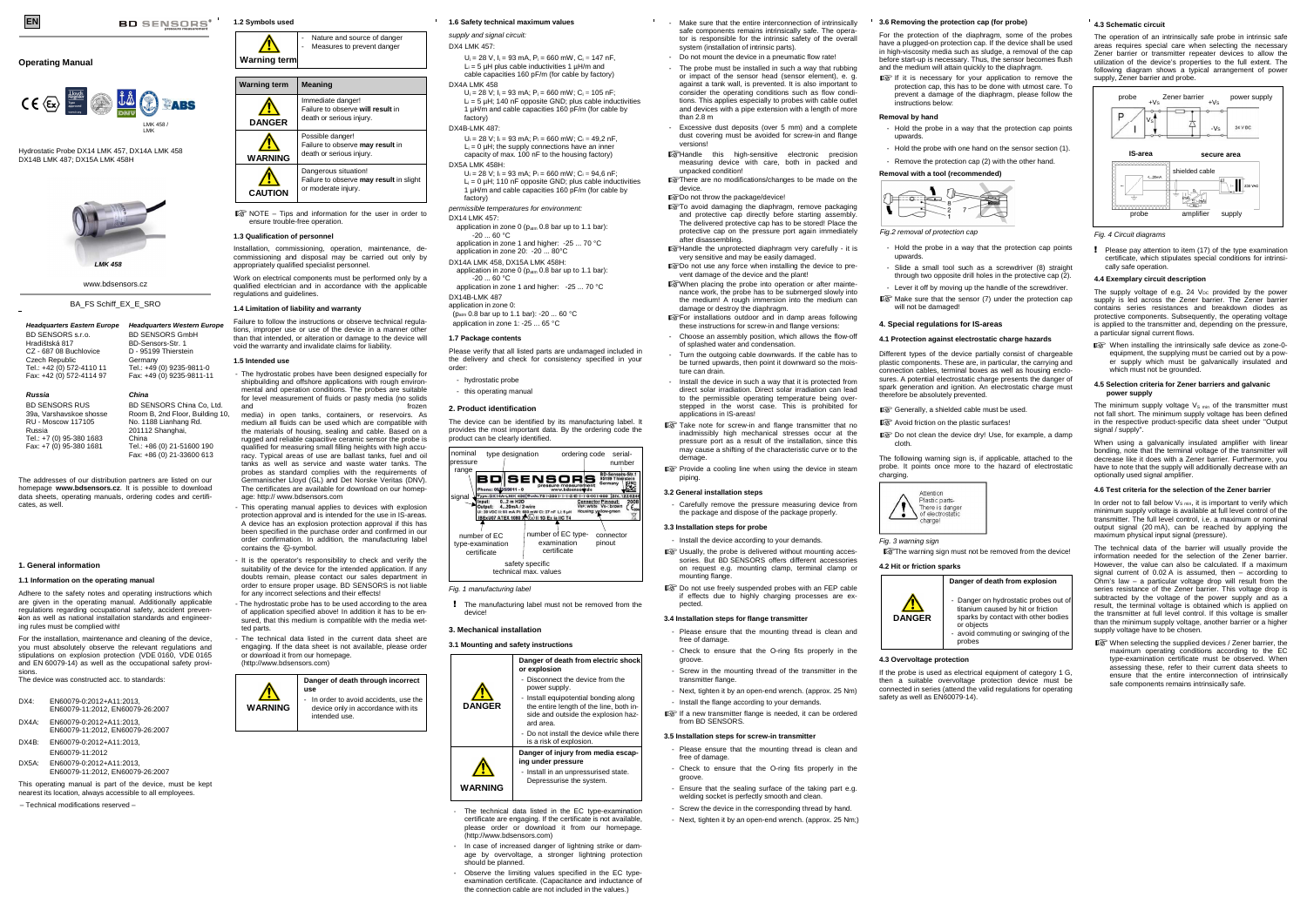# **Operating Manual**

Hydrostatic Probe DX14 LMK 457, DX14A LMK 458 DX14B LMK 487; DX15A LMK 458H

BD SENSORS s.r.o. Hradištská 817 CZ - 687 08 Buchlovice Czech Republic Tel.: +42 (0) 572-4110 11 Fax: +42 (0) 572-4114 97

#### **Headquarters Eastern EuropeHeadquarters Western Europe**BD SENSORS GmbH

BD-Sensors-Str. 1 D - 95199 Thierstein Germany

 Tel.: +49 (0) 9235-9811-0 Fax: +49 (0) 9235-9811-11

**Russia** BD SENSORS RUS 39a, Varshavskoe shosse RU - Moscow 117105 Russia Tel.: +7 (0) 95-380 1683 Fax: +7 (0) 95-380 1681 **China** BD SENSORS China Co, Ltd. Room B, 2nd Floor, Building 10, No. 1188 Lianhang Rd. 201112 Shanghai, China Tel.: +86 (0) 21-51600 190 Fax: +86 (0) 21-33600 613

The addresses of our distribution partners are listed on our homepage **www.bdsensors.cz**. It is possible to download data sheets, operating manuals, ordering codes and certificates, as well.

#### **1. General information**

#### **1.1 Information on the operating manual**

# **Warning term**Nature and source of danger Measures to prevent danger

Adhere to the safety notes and operating instructions which are given in the operating manual. Additionally applicable regulations regarding occupational safety, accident prevention as well as national installation standards and engineering rules must be complied with!

Installation, commissioning, operation, maintenance, decommissioning and disposal may be carried out only by appropriately qualified specialist personnel.

For the installation, maintenance and cleaning of the device, you must absolutely observe the relevant regulations and stipulations on explosion protection (VDE 0160, VDE 0165 and EN 60079-14) as well as the occupational safety provisions.

The device was constructed acc. to standards:

| DX4: | EN60079-0:2012+A11:2013.         |
|------|----------------------------------|
|      | EN60079-11:2012, EN60079-26:2007 |

- DX4A: EN60079-0:2012+A11:2013, EN60079-11:2012, EN60079-26:2007
- DX4B: EN60079-0:2012+A11:2013, EN60079-11:2012
- DX5A: EN60079-0:2012+A11:2013, EN60079-11:2012, EN60079-26:2007
- This operating manual is part of the device, must be kept
- nearest its location, always accessible to all employees.
- Technical modifications reserved –





NOTE – Tips and information for the user in order toensure trouble-free operation.

## **1.3 Qualification of personnel**

Work on electrical components must be performed only by a qualified electrician and in accordance with the applicable regulations and guidelines.

# **1.4 Limitation of liability and warranty**

Failure to follow the instructions or observe technical regulations, improper use or use of the device in a manner other than that intended, or alteration or damage to the device will void the warranty and invalidate claims for liability.

### **1.5 Intended use**

- The hydrostatic probes have been designed especially for shipbuilding and offshore applications with rough environmental and operation conditions. The probes are suitable for level measurement of fluids or pasty media (no solidsand frozen media) in open tanks, containers, or reservoirs. As medium all fluids can be used which are compatible with

 the materials of housing, sealing and cable. Based on a rugged and reliable capacitive ceramic sensor the probe is qualified for measuring small filling heights with high accuracy. Typical areas of use are ballast tanks, fuel and oil tanks as well as service and waste water tanks. The probes as standard complies with the requirements of Germanischer Lloyd (GL) and Det Norske Veritas (DNV). The certificates are available for download on our homepage: http:// www.bdsensors.com

- This operating manual applies to devices with explosion protection approval and is intended for the use in IS-areas. A device has an explosion protection approval if this has been specified in the purchase order and confirmed in our order confirmation. In addition, the manufacturing label contains the  $\overline{\omega}$ -symbol.
- It is the operator's responsibility to check and verify the suitability of the device for the intended application. If any doubts remain, please contact our sales department in order to ensure proper usage. BD SENSORS is not liable for any incorrect selections and their effects!
- The hydrostatic probe has to be used according to the area of application specified above! In addition it has to be ensured, that this medium is compatible with the media wetted parts.

- The technical data listed in the current data sheet are engaging. If the data sheet is not available, please order or download it from our homepage. (http://www.bdsensors.com)

**WARNING Danger of death through incorrect use** In order to avoid accidents, use the device only in accordance with its intended use.



supply and signal circuit:

Carefully remove the pressure measuring device from the package and dispose of the package properly.

- DX4 LMK 457:  $U_i = 28$  V,  $I_i = 93$  mA,  $P_i = 660$  mW,  $C_i = 147$  nF,  $L = 5$  uH plus cable inductivities 1 uH/m and
- cable capacities 160 pF/m (for cable by factory) DX4A LMK 458  $U_i = 28$  V;  $I_i = 93$  mA;  $P_i = 660$  mW;  $C_i = 105$  nF;
- $L_i = 5 \mu H$ ; 140 nF opposite GND; plus cable inductivities 1 µH/m and cable capacities 160 pF/m (for cable by factory) DX4B-LMK 487:
- 
- $U_i = 28$  V;  $I_i = 93$  mA;  $P_i = 660$  mW;  $C_i = 49,2$  nF,  $L_i = 0$  µH; the supply connections have an inner capacity of max. 100 nF to the housing factory) DX5A LMK 458H:
- $U_i = 28$  V;  $I_i = 93$  mA;  $P_i = 660$  mW;  $C_i = 94,6$  nF;  $L_i = 0$  µH; 110 nF opposite GND; plus cable inductivities 1 µH/m and cable capacities 160 pF/m (for cable by factory)
- permissible temperatures for environment: DX14 | MK 457:
- application in zone  $0$  ( $p_{atm}$  0.8 bar up to 1.1 bar):  $-20...60 °C$
- application in zone 1 and higher: -25 ... 70 °C application in zone 20: -20 ... 80°C
- DX14A LMK 458, DX15A LMK 458H: application in zone 0 ( $p_{atm}$  0.8 bar up to 1.1 bar):  $-20$  60 °C.
- application in zone 1 and higher: -25 ... 70 °C DX14B-LMK 487
- application in zone 0: (p<sub>atm</sub> 0.8 bar up to 1.1 bar): -20 ... 60 °C
- application in zone 1: -25 ... 65 °C

Slide a small tool such as a screwdriver (8) straight through two opposite drill holes in the protective cap (2). - Lever it off by moving up the handle of the screwdriver.

Make sure that the sensor (7) under the protection cap

## **1.7 Package contents**

Please verify that all listed parts are undamaged included in the delivery and check for consistency specified in your order:

- hydrostatic probe
- this operating manual

#### **2. Product identification**

The device can be identified by its manufacturing label. It provides the most important data. By the ordering code the product can be clearly identified.

- Fig. 1 manufacturing label
- ! The manufacturing label must not be removed from the device!

### **3. Mechanical installation**

#### **3.1 Mounting and safety instructions**

Danger on hydrostatic probes out of titanium caused by hit or friction sparks by contact with other bodiesor objects

The operation of an intrinsically safe probe in intrinsic safe areas requires special care when selecting the necessary Zener barrier or transmitter repeater devices to allow the utilization of the device's properties to the full extent. The following diagram shows a typical arrangement of power<br>supply, Zener barrier and probe.



Please pay attention to item (17) of the type examination certificate, which stipulates special conditions for intrinsically safe operation.

- The technical data listed in the EC type-examination certificate are engaging. If the certificate is not available, please order or download it from our homepage. (http://www.bdsensors.com)
- In case of increased danger of lightning strike or damage by overvoltage, a stronger lightning protection should be planned.
- Observe the limiting values specified in the EC typeexamination certificate. (Capacitance and inductance of the connection cable are not included in the values.)

In order not to fall below  $V_{S, min}$  it is important to verify which minimum supply voltage is available at full level control of the transmitter. The full level control, i.e. a maximum or nominal output signal (20 mA), can be reached by applying the maximum physical input signal (pressure).

The technical data of the barrier will usually provide the information needed for the selection of the Zener barrier. However, the value can also be calculated. If a maximum signal current of 0.02 A is assumed, then – according to Ohm's law – a particular voltage drop will result from the series resistance of the Zener barrier. This voltage drop is subtracted by the voltage of the power supply and as a result, the terminal voltage is obtained which is applied on the transmitter at full level control. If this voltage is smaller than the minimum supply voltage, another barrier or a higher supply voltage have to be chosen.

**IS** When selecting the supplied devices / Zener barrier, the maximum operating conditions according to the EC type-examination certificate must be observed. When assessing these, refer to their current data sheets to ensure that the entire interconnection of intrinsicallysafe components remains intrinsically safe.

- Make sure that the entire interconnection of intrinsically safe components remains intrinsically safe. The operator is responsible for the intrinsic safety of the overall system (installation of intrinsic parts).
	- Do not mount the device in a pneumatic flow rate!
- The probe must be installed in such a way that rubbing or impact of the sensor head (sensor element), e. g. against a tank wall, is prevented. It is also important to consider the operating conditions such as flow conditions. This applies especially to probes with cable outlet and devices with a pipe extension with a length of more than 2.8 m
- Excessive dust deposits (over 5 mm) and a complete dust covering must be avoided for screw-in and flange versions!
- Handle this high-sensitive electronic precision measuring device with care, both in packed and unpacked condition!
- There are no modifications/changes to be made on the device.
- Do not throw the package/device!
- To avoid damaging the diaphragm, remove packaging and protective cap directly before starting assembly The delivered protective cap has to be stored! Place the protective cap on the pressure port again immediately after disassembling.
- Handle the unprotected diaphragm very carefully it isvery sensitive and may be easily damaged. Do not use any force when installing the device to pre-
- vent damage of the device and the plant! When placing the probe into operation or after mainte-
- nance work, the probe has to be submerged slowly into the medium! A rough immersion into the medium can damage or destroy the diaphragm.
- For installations outdoor and in damp areas following these instructions for screw-in and flange versions:
- Choose an assembly position, which allows the flow-off of splashed water and condensation.
- Turn the outgoing cable downwards. If the cable has to be turned upwards, then point it downward so the moisture can drain.
- Install the device in such a way that it is protected from direct solar irradiation. Direct solar irradiation can lead to the permissible operating temperature being overstepped in the worst case. This is prohibited for applications in IS-areas!
- Take note for screw-in and flange transmitter that no inadmissibly high mechanical stresses occur at the pressure port as a result of the installation, since this may cause a shifting of the characteristic curve or to the demage.
- **IS** Provide a cooling line when using the device in steam piping.

#### **3.2 General installation steps**

#### **3.3 Installation steps for probe**

- Install the device according to your demands.
- Usually, the probe is delivered without mounting accessories. But BD SENSORS offers different accessories on request e.g. mounting clamp, terminal clamp or mounting flange.
- $\mathbb{R}$  Do not use freely suspended probes with an FEP cable if effects due to highly charging processes are expected.

## **3.4 Installation steps for flange transmitter**

- Please ensure that the mounting thread is clean and free of damage.
- Check to ensure that the O-ring fits properly in thegroove.
- Screw in the mounting thread of the transmitter in the transmitter flange.
- Next, tighten it by an open-end wrench. (approx. 25 Nm) - Install the flange according to your demands.
- If a new transmitter flange is needed, it can be ordered from BD SENSORS.

**3.5 Installation steps for screw-in transmitter** 

free of damage

- Please ensure that the mounting thread is clean and

- Check to ensure that the O-ring fits properly in the

groove.

- Ensure that the sealing surface of the taking part e.g. welding socket is perfectly smooth and clear - Screw the device in the corresponding thread by hand. - Next, tighten it by an open-end wrench. (approx. 25 Nm;)

#### **3.6 Removing the protection cap (for probe)**

For the protection of the diaphragm, some of the probes have a plugged-on protection cap. If the device shall be used in high-viscosity media such as sludge, a removal of the cap before start-up is necessary. Thus, the sensor becomes flush and the medium will attain quickly to the diaphragm.

 If it is necessary for your application to remove the protection cap, this has to be done with utmost care. To prevent a damage of the diaphragm, please follow the

instructions below: **Removal by hand** 

- Hold the probe in a way that the protection cap points

upwards.

- Hold the probe with one hand on the sensor section (1).

- Remove the protection cap (2) with the other hand

#### **Removal with a tool (recommended)**

- Hold the probe in a way that the protection cap points

upwards.

will not be damaged!

#### **4. Special regulations for IS-areas**

# **4.1 Protection against electrostatic charge hazards**

Different types of the device partially consist of chargeable plastic components. These are, in particular, the carrying and connection cables, terminal boxes as well as housing enclosures. A potential electrostatic charge presents the danger of spark generation and ignition. An electrostatic charge must

Generally, a shielded cable must be used.

therefore be absolutely prevented.

Attention Plastic parts-There is danger<br>of electrostatic hargel

Avoid friction on the plastic surfaces!

Do not clean the device dry! Use, for example, a damp

cloth.

The following warning sign is, if applicable, attached to the probe. It points once more to the hazard of electrostatic

Fig. 3 warning sign

The warning sign must not be removed from the device!

**4.2 Hit or friction sparks** 

charging.



**DANGER** 

## **Danger of death from explosion**

- avoid commuting or swinging of the

probes

**4.3 Overvoltage protection** 

If the probe is used as electrical equipment of category 1 G, then a suitable overvoltage protection device must be connected in series (attend the valid regulations for operating

safety as well as EN60079-14).

#### **4.3 Schematic circuit**

## Fig. 4 Circuit diagrams

## **4.4 Exemplary circuit description**

The supply voltage of e.g. 24  $V_{DC}$  provided by the power supply is led across the Zener barrier. The Zener barrier contains series resistances and breakdown diodes as protective components. Subsequently, the operating voltage is applied to the transmitter and, depending on the pressure, a particular signal current flows.

When installing the intrinsically safe device as zone-0 equipment, the supplying must be carried out by a power supply which must be galvanically insulated and which must not be grounded.

#### **4.5 Selection criteria for Zener barriers and galvanic power supply**

The minimum supply voltage  $V_{\text{S min}}$  of the transmitter must not fall short. The minimum supply voltage has been defined in the respective product-specific data sheet under "Output signal / supply".

When using a galvanically insulated amplifier with linear bonding, note that the terminal voltage of the transmitter will decrease like it does with a Zener barrier. Furthermore, you have to note that the supply will additionally decrease with an optionally used signal amplifier

## **4.6 Test criteria for the selection of the Zener barrier**

Fig.2 removal of protection cap









www.bdsensors.cz

#### BA\_ES Schiff\_EX\_E\_SRO